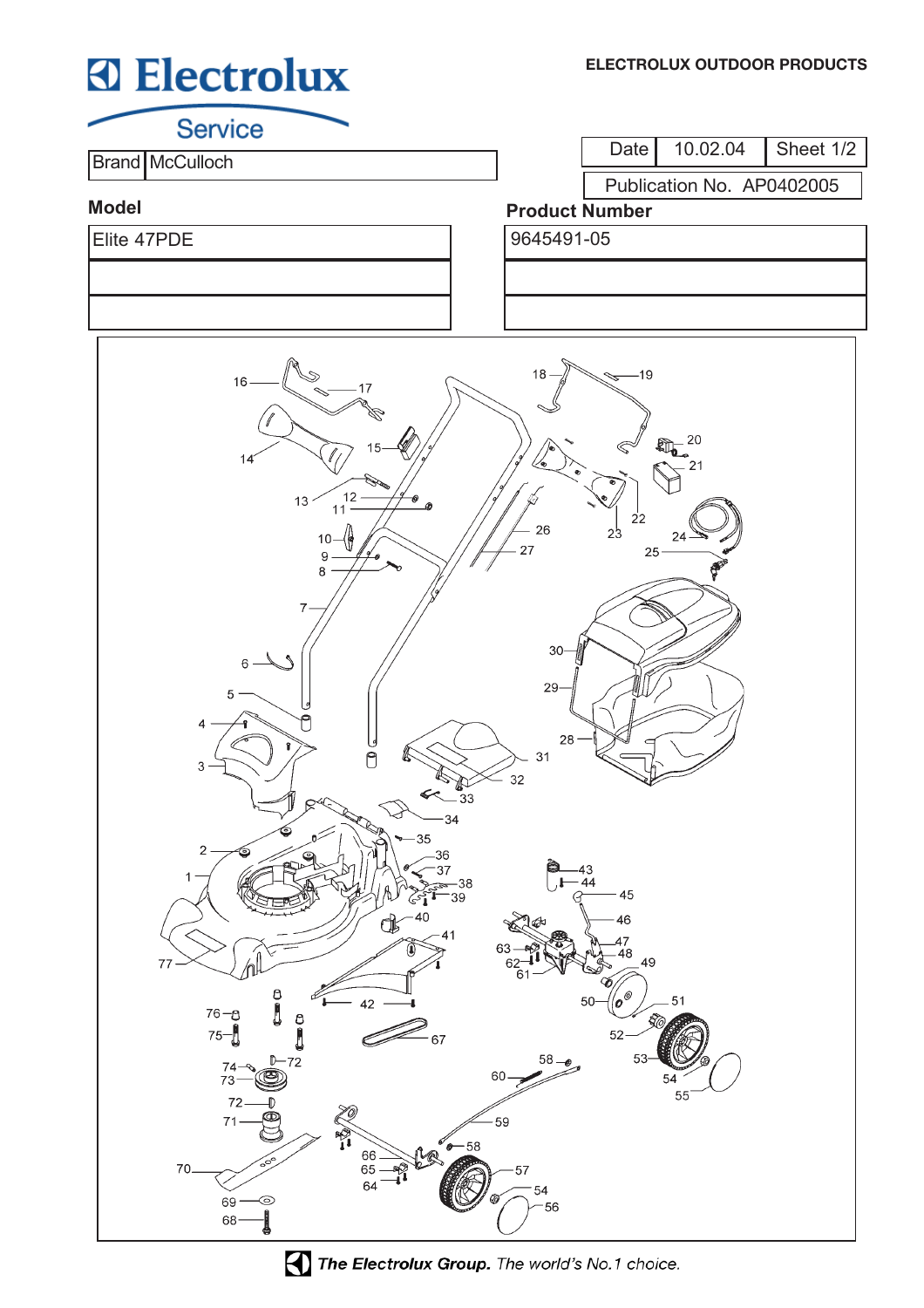# **Electrolux**

**Service** 

**Brand McCulloch** 

Date 10.02.04 Sheet 1/2

Publication No. AP0402005

### **Model**

Elite 47PDE 9645491-05

## **Product Number**